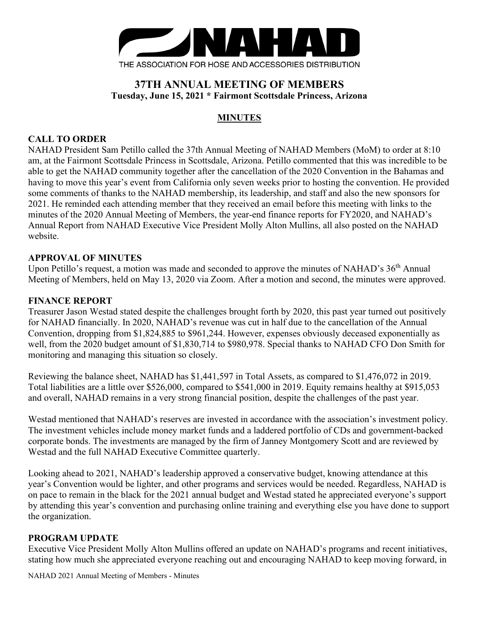

# **37TH ANNUAL MEETING OF MEMBERS Tuesday, June 15, 2021 \* Fairmont Scottsdale Princess, Arizona**

# **MINUTES**

## **CALL TO ORDER**

NAHAD President Sam Petillo called the 37th Annual Meeting of NAHAD Members (MoM) to order at 8:10 am, at the Fairmont Scottsdale Princess in Scottsdale, Arizona. Petillo commented that this was incredible to be able to get the NAHAD community together after the cancellation of the 2020 Convention in the Bahamas and having to move this year's event from California only seven weeks prior to hosting the convention. He provided some comments of thanks to the NAHAD membership, its leadership, and staff and also the new sponsors for 2021. He reminded each attending member that they received an email before this meeting with links to the minutes of the 2020 Annual Meeting of Members, the year-end finance reports for FY2020, and NAHAD's Annual Report from NAHAD Executive Vice President Molly Alton Mullins, all also posted on the NAHAD website.

## **APPROVAL OF MINUTES**

Upon Petillo's request, a motion was made and seconded to approve the minutes of NAHAD's 36<sup>th</sup> Annual Meeting of Members, held on May 13, 2020 via Zoom. After a motion and second, the minutes were approved.

#### **FINANCE REPORT**

Treasurer Jason Westad stated despite the challenges brought forth by 2020, this past year turned out positively for NAHAD financially. In 2020, NAHAD's revenue was cut in half due to the cancellation of the Annual Convention, dropping from \$1,824,885 to \$961,244. However, expenses obviously deceased exponentially as well, from the 2020 budget amount of \$1,830,714 to \$980,978. Special thanks to NAHAD CFO Don Smith for monitoring and managing this situation so closely.

Reviewing the balance sheet, NAHAD has \$1,441,597 in Total Assets, as compared to \$1,476,072 in 2019. Total liabilities are a little over \$526,000, compared to \$541,000 in 2019. Equity remains healthy at \$915,053 and overall, NAHAD remains in a very strong financial position, despite the challenges of the past year.

Westad mentioned that NAHAD's reserves are invested in accordance with the association's investment policy. The investment vehicles include money market funds and a laddered portfolio of CDs and government-backed corporate bonds. The investments are managed by the firm of Janney Montgomery Scott and are reviewed by Westad and the full NAHAD Executive Committee quarterly.

Looking ahead to 2021, NAHAD's leadership approved a conservative budget, knowing attendance at this year's Convention would be lighter, and other programs and services would be needed. Regardless, NAHAD is on pace to remain in the black for the 2021 annual budget and Westad stated he appreciated everyone's support by attending this year's convention and purchasing online training and everything else you have done to support the organization.

## **PROGRAM UPDATE**

Executive Vice President Molly Alton Mullins offered an update on NAHAD's programs and recent initiatives, stating how much she appreciated everyone reaching out and encouraging NAHAD to keep moving forward, in

NAHAD 2021 Annual Meeting of Members - Minutes